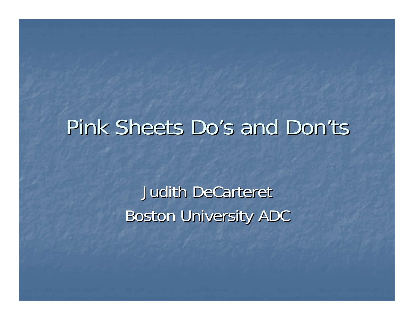# Pink Sheets Do's and Don'ts

Judith DeCarteret **Boston University ADC**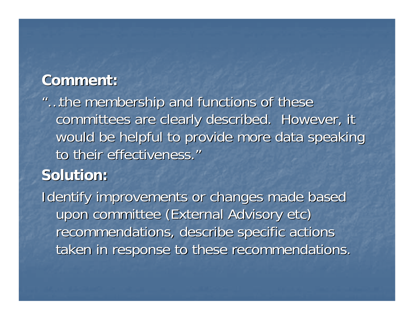"...the membership and functions of these committees are clearly described. However, it would be helpful to provide more data speaking to their effectiveness."

## **Solution: Solution:**

Identify improvements or changes made based upon committee (External Advisory etc) recommendations, describe specific actions taken in response to these recommendations.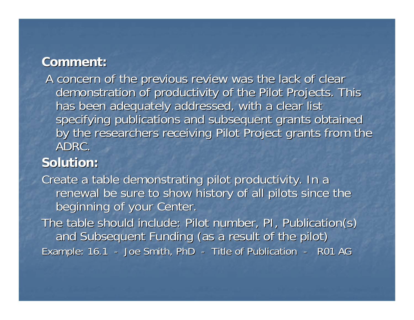A concern of the previous review was the lack of clear demonstration of productivity of the Pilot Projects. This has been adequately addressed, with a clear list specifying publications and subsequent grants obtained by the researchers receiving Pilot Project grants from the ADRC.

#### **Solution: Solution:**

Create a table demonstrating pilot productivity. In a renewal be sure to show history of all pilots since the beginning of your Center.

The table should include: Pilot number, PI, Publication(s) and Subsequent Funding (as a result of the pilot) Example: 16.1 - Joe Smith, PhD -- Title of Publication - R01 AG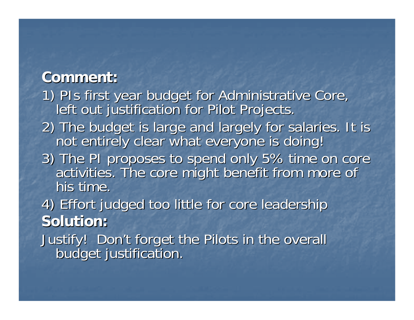- 1) PIs first year budget for Administrative Core, 1) PIs first year budget for Administrative Core,
- 2) The budget is large and largely for salaries. It is not entirely clear what everyone is doing!
- 3) The PI proposes to spend only 5% time on core activities. The core might benefit from more of his time.

4) Effort judged too little for core leadership 4) Effort judged too little for core leadership **Solution: Solution:**

Justify! Don't forget the Pilots in the overall budget justification.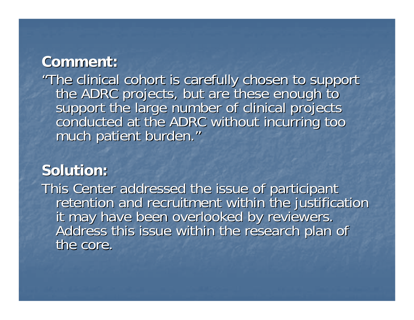"The clinical cohort is carefully chosen to support<br>the ADRC projects, but are these enough to<br>support the large number of clinical projects<br>conducted at the ADRC without incurring too "

#### **Solution: Solution:**

This Center addressed the issue of participant<br>retention and recruitment within the justification<br>it may have been overlooked by reviewers.<br>Address this issue within the research plan of the core.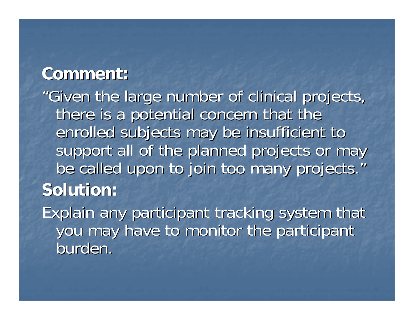"Given the large number of clinical projects, Given the large number of clinical projects, there is a potential concern that the enrolled subjects may be insufficient to support all of the planned projects or may be called upon to join too many projects." **Solution: Solution:**

Explain any participant tracking system that you may have to monitor the participant burden.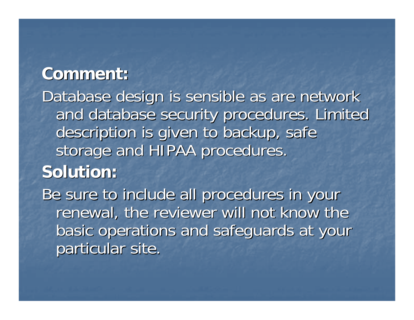Database design is sensible as are network and database security procedures. Limited description is given to backup, safe storage and HIPAA procedures.

# **Solution: Solution:**

Be sure to include all procedures in your renewal, the reviewer will not know the basic operations and safeguards at your particular site.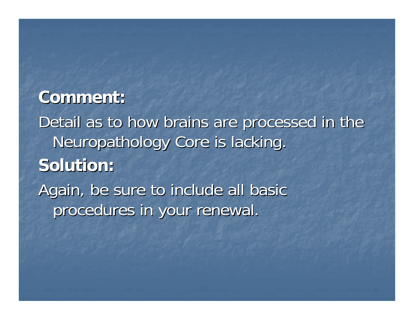Detail as to how brains are processed in the Neuropathology Core is lacking. **Solution: Solution:**Again, be sure to include all basic procedures in your renewal.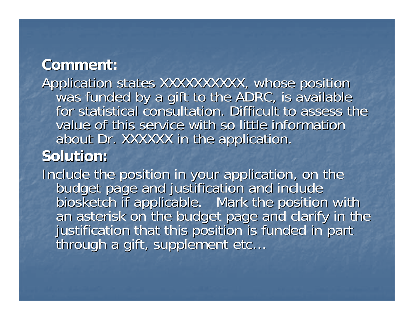Application states XXXXXXXXXX, whose position<br>was funded by a gift to the ADRC, is available<br>for statistical consultation. Difficult to assess the value of this service with so little information about Dr. XXXXXX in the application.

## **Solution: Solution:**

Include the position in your application, on the<br>budget page and justification and include<br>biosketch if applicable. Mark the position with<br>an asterisk on the budget page and clarify in the<br>justification that this position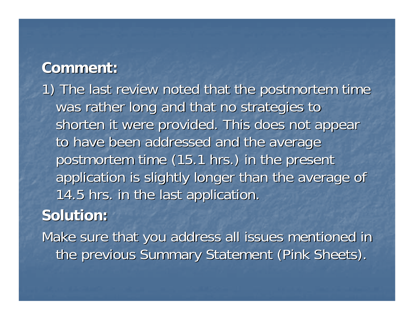1) The last review noted that the postmortem time was rather long and that no strategies to shorten it were provided. This does not appear to have been addressed and the average postmortem time (15.1 hrs.) in the present application is slightly longer than the average of 14.5 hrs. in the last application.

**Solution: Solution:**

Make sure that you address all issues mentioned in the previous Summary Statement (Pink Sheets).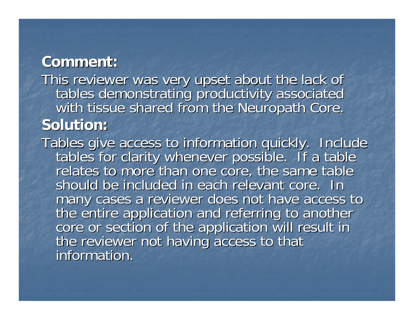This reviewer was very upset about the lack of<br>tables demonstrating productivity associated<br>with tissue shared from the Neuropath Core. **Solution: Solution:**

Tables give access to information quickly. Include<br>tables for clarity whenever possible. If a table<br>relates to more than one core, the same table should be included in each relevant core. In many cases a reviewer does not have access to<br>the entire application and referring to another<br>core or section of the application will result in<br>the reviewer not having access to that information.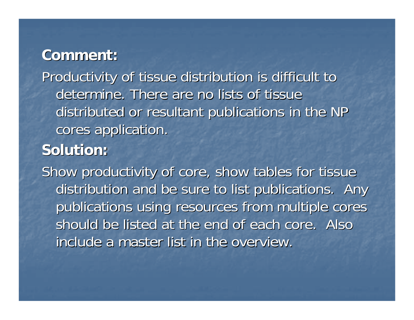Productivity of tissue distribution is difficult to Productivity of tissue distribution is difficult to determine. There are no lists of tissue distributed or resultant publications in the NP cores application.

#### **Solution: Solution:**

Show productivity of core, show tables for tissue distribution and be sure to list publications. Any publications using resources from multiple cores should be listed at the end of each core. Also include a master list in the overview.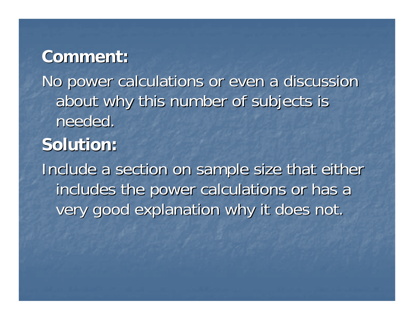No power calculations or even a discussion about why this number of subjects is needed.

**Solution: Solution:**

Include a section on sample size that either includes the power calculations or has a very good explanation why it does not.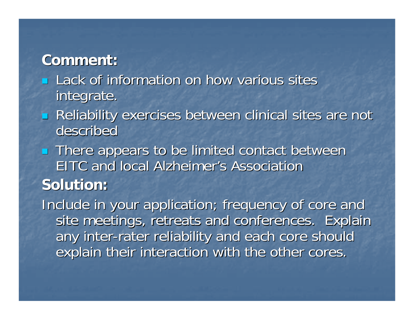- Lack of information on how various sites integrate.
- $\mathbb{R}^2$ **Reliability exercises between clinical sites are not** described
- **There appears to be limited contact between** EITC and local Alzheimer's Association **Solution: Solution:**

Include in your application; frequency of core and site meetings, retreats and conferences. Explain any inter-rater reliability and each core should explain their interaction with the other cores.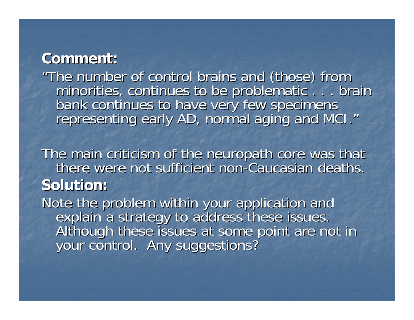"The number of control brains and (those) from<br>minorities, continues to be problematic . . . brain minorities, continues to be problematic . . . brain<br>bank continues to have very few specimens<br>representing early AD, normal aging and MCI." "

The main criticism of the neuropath core was that there were not sufficient non-Caucasian deaths. **Solution: Solution:**

Note the problem within your application and<br>explain a strategy to address these issues.<br>Although these issues at some point are not in<br>your control. Any suggestions?